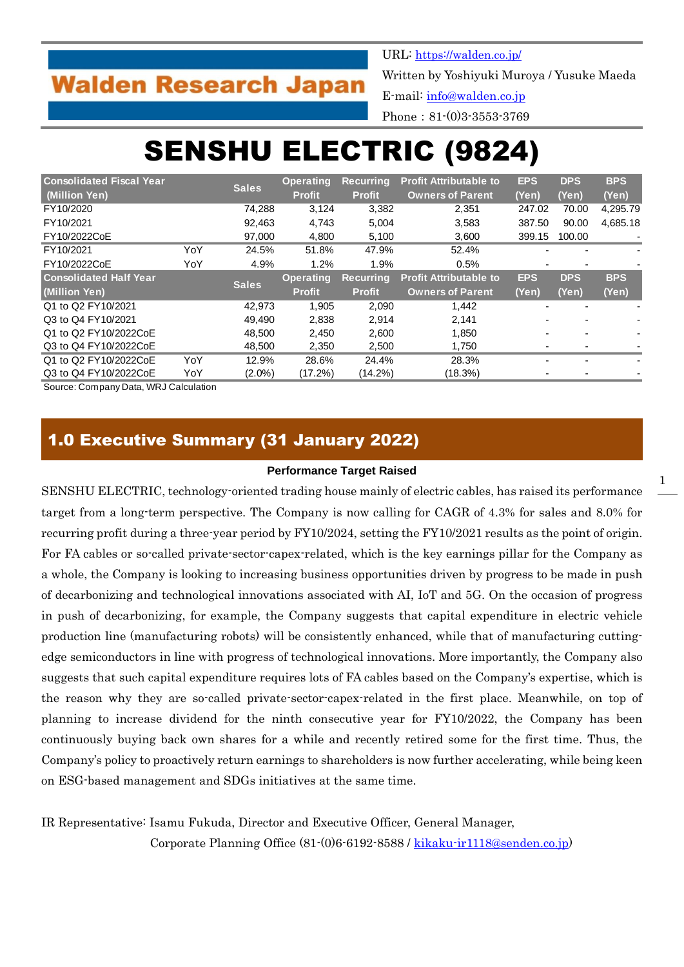## **Walden Research Japan**

URL: <https://walden.co.jp/>

Written by Yoshiyuki Muroya / Yusuke Maeda

E-mail: [info@walden.co.jp](mailto:info@walden.co.jp)

Phone: 81-(0)3-3553-3769

# SENSHU ELECTRIC (9824)

| <b>Consolidated Fiscal Year</b> |     | <b>Sales</b> | <b>Operating</b> | <b>Recurring</b> | <b>Profit Attributable to</b> | <b>EPS</b> | <b>DPS</b> | <b>BPS</b> |
|---------------------------------|-----|--------------|------------------|------------------|-------------------------------|------------|------------|------------|
| (Million Yen)                   |     |              | <b>Profit</b>    | <b>Profit</b>    | <b>Owners of Parent</b>       | (Yen)      | (Yen)      | (Yen)      |
| FY10/2020                       |     | 74.288       | 3,124            | 3,382            | 2,351                         | 247.02     | 70.00      | 4,295.79   |
| FY10/2021                       |     | 92.463       | 4.743            | 5,004            | 3,583                         | 387.50     | 90.00      | 4,685.18   |
| FY10/2022CoE                    |     | 97,000       | 4,800            | 5,100            | 3,600                         | 399.15     | 100.00     |            |
| FY10/2021                       | YoY | 24.5%        | 51.8%            | 47.9%            | 52.4%                         |            |            |            |
| FY10/2022CoE                    | YoY | 4.9%         | 1.2%             | 1.9%             | 0.5%                          |            |            |            |
| <b>Consolidated Half Year</b>   |     | <b>Sales</b> | <b>Operating</b> | <b>Recurring</b> | <b>Profit Attributable to</b> | <b>EPS</b> | <b>DPS</b> | <b>BPS</b> |
| (Million Yen)                   |     |              | <b>Profit</b>    | Profit           | <b>Owners of Parent</b>       | (Yen)      | (Yen)      | (Yen)      |
| Q1 to Q2 FY10/2021              |     | 42,973       | 1,905            | 2,090            | 1,442                         |            |            |            |
| Q3 to Q4 FY10/2021              |     | 49.490       | 2,838            | 2.914            | 2.141                         |            |            |            |
| Q1 to Q2 FY10/2022CoE           |     | 48,500       | 2,450            | 2,600            | 1,850                         |            |            |            |
| Q3 to Q4 FY10/2022CoE           |     | 48.500       | 2,350            | 2,500            | 1.750                         |            |            |            |
| Q1 to Q2 FY10/2022CoE           | YoY | 12.9%        | 28.6%            | 24.4%            | 28.3%                         |            |            |            |
| Q3 to Q4 FY10/2022CoE           | YoY | $(2.0\%)$    | (17.2%)          | (14.2%)          | (18.3%)                       |            |            |            |

Source: Company Data, WRJ Calculation

## 1.0 Executive Summary (31 January 2022)

#### **Performance Target Raised**

SENSHU ELECTRIC, technology-oriented trading house mainly of electric cables, has raised its performance target from a long-term perspective. The Company is now calling for CAGR of 4.3% for sales and 8.0% for recurring profit during a three-year period by FY10/2024, setting the FY10/2021 results as the point of origin. For FA cables or so-called private-sector-capex-related, which is the key earnings pillar for the Company as a whole, the Company is looking to increasing business opportunities driven by progress to be made in push of decarbonizing and technological innovations associated with AI, IoT and 5G. On the occasion of progress in push of decarbonizing, for example, the Company suggests that capital expenditure in electric vehicle production line (manufacturing robots) will be consistently enhanced, while that of manufacturing cuttingedge semiconductors in line with progress of technological innovations. More importantly, the Company also suggests that such capital expenditure requires lots of FA cables based on the Company's expertise, which is the reason why they are so-called private-sector-capex-related in the first place. Meanwhile, on top of planning to increase dividend for the ninth consecutive year for FY10/2022, the Company has been continuously buying back own shares for a while and recently retired some for the first time. Thus, the Company's policy to proactively return earnings to shareholders is now further accelerating, while being keen on ESG-based management and SDGs initiatives at the same time.

IR Representative: Isamu Fukuda, Director and Executive Officer, General Manager, Corporate Planning Office (81-(0)6-6192-8588 / [kikaku-ir1118@senden.co.jp\)](mailto:kikaku-ir1118@senden.co.jp)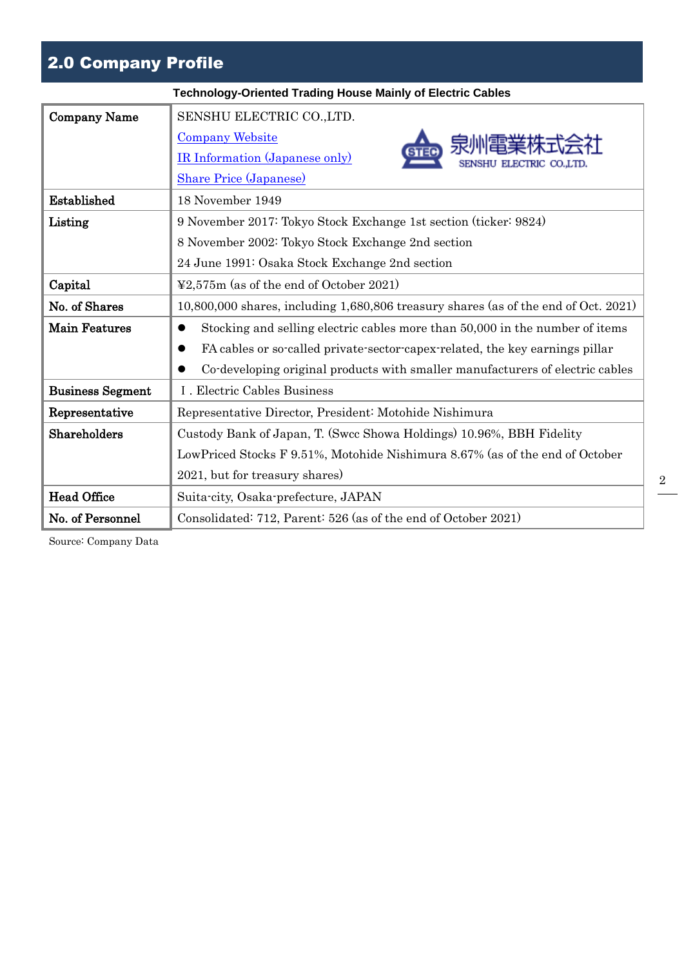## 2.0 Company Profile

|                         | <b>Technology-Oriented Trading House Mainly of Electric Cables</b>                        |
|-------------------------|-------------------------------------------------------------------------------------------|
| <b>Company Name</b>     | SENSHU ELECTRIC CO., LTD.                                                                 |
|                         | <b>Company Website</b>                                                                    |
|                         | <b>IR Information (Japanese only)</b><br>ELECTRIC CO.LTD                                  |
|                         | <b>Share Price (Japanese)</b>                                                             |
| Established             | 18 November 1949                                                                          |
| Listing                 | 9 November 2017: Tokyo Stock Exchange 1st section (ticker: 9824)                          |
|                         | 8 November 2002: Tokyo Stock Exchange 2nd section                                         |
|                         | 24 June 1991: Osaka Stock Exchange 2nd section                                            |
| Capital                 | $\textcolor{blue}{42.575m}$ (as of the end of October 2021)                               |
| No. of Shares           | 10,800,000 shares, including 1,680,806 treasury shares (as of the end of Oct. 2021)       |
| <b>Main Features</b>    | Stocking and selling electric cables more than 50,000 in the number of items<br>$\bullet$ |
|                         | FA cables or so-called private-sector-capex-related, the key earnings pillar<br>$\bullet$ |
|                         | Co-developing original products with smaller manufacturers of electric cables             |
| <b>Business Segment</b> | I. Electric Cables Business                                                               |
| Representative          | Representative Director, President: Motohide Nishimura                                    |
| Shareholders            | Custody Bank of Japan, T. (Swcc Showa Holdings) 10.96%, BBH Fidelity                      |
|                         | LowPriced Stocks F 9.51%, Motohide Nishimura 8.67% (as of the end of October              |
|                         | 2021, but for treasury shares)                                                            |
| <b>Head Office</b>      | Suita-city, Osaka-prefecture, JAPAN                                                       |
| No. of Personnel        | Consolidated: 712, Parent: 526 (as of the end of October 2021)                            |

Source: Company Data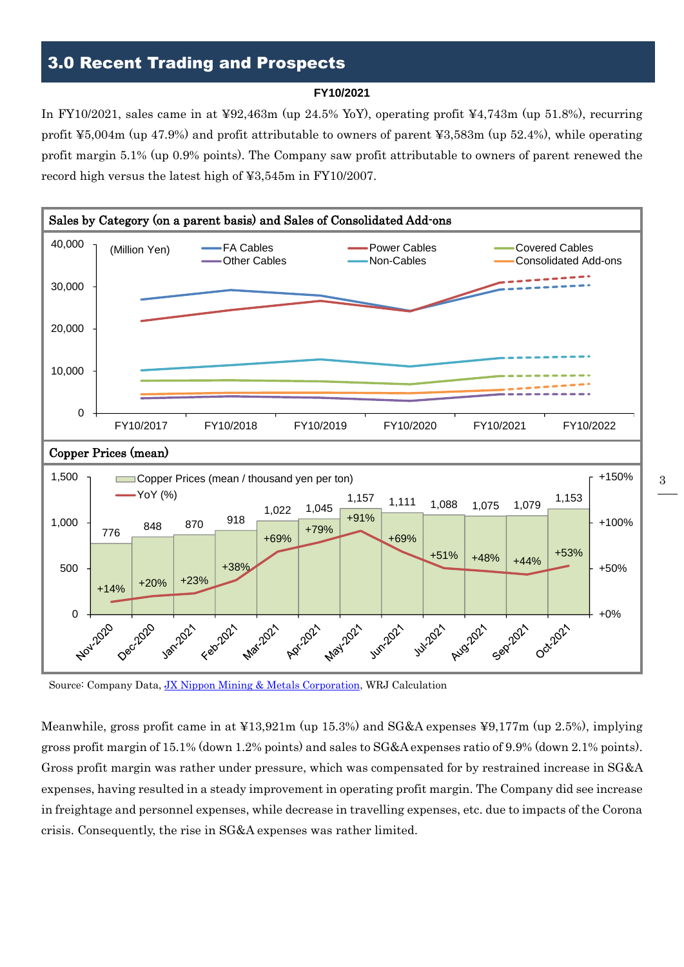## 3.0 Recent Trading and Prospects

#### **FY10/2021**

In FY10/2021, sales came in at ¥92,463m (up 24.5% YoY), operating profit ¥4,743m (up 51.8%), recurring profit ¥5,004m (up 47.9%) and profit attributable to owners of parent ¥3,583m (up 52.4%), while operating profit margin 5.1% (up 0.9% points). The Company saw profit attributable to owners of parent renewed the record high versus the latest high of ¥3,545m in FY10/2007.



Source: Company Data, [JX Nippon Mining & Metals Corporation,](https://www.nmm.jx-group.co.jp/cuprice/) WRJ Calculation

Meanwhile, gross profit came in at ¥13,921m (up 15.3%) and SG&A expenses ¥9,177m (up 2.5%), implying gross profit margin of 15.1% (down 1.2% points) and sales to SG&A expenses ratio of 9.9% (down 2.1% points). Gross profit margin was rather under pressure, which was compensated for by restrained increase in SG&A expenses, having resulted in a steady improvement in operating profit margin. The Company did see increase in freightage and personnel expenses, while decrease in travelling expenses, etc. due to impacts of the Corona crisis. Consequently, the rise in SG&A expenses was rather limited.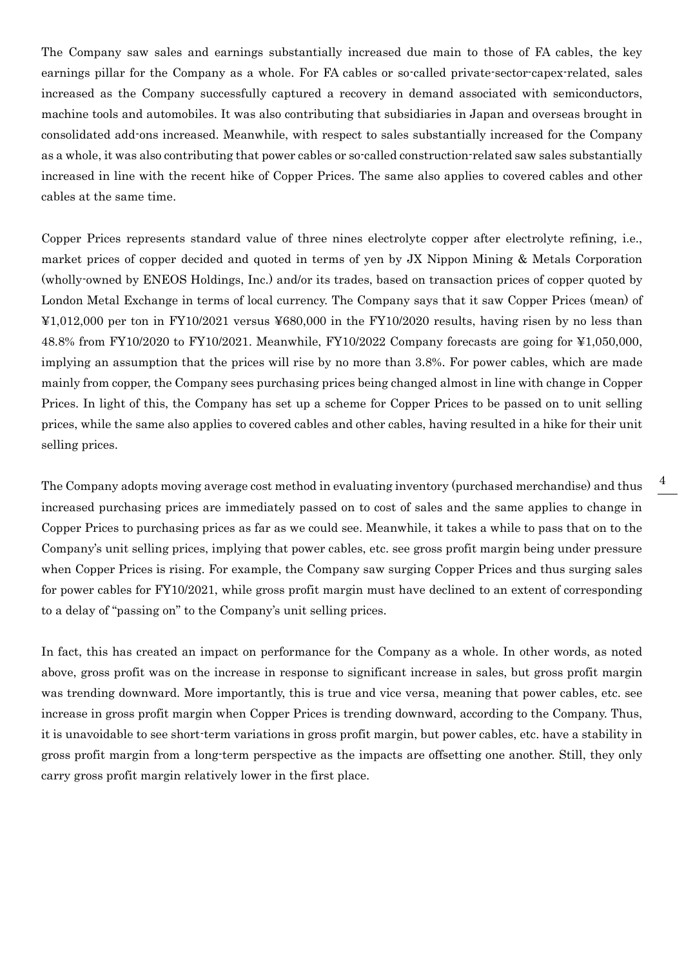The Company saw sales and earnings substantially increased due main to those of FA cables, the key earnings pillar for the Company as a whole. For FA cables or so-called private-sector-capex-related, sales increased as the Company successfully captured a recovery in demand associated with semiconductors, machine tools and automobiles. It was also contributing that subsidiaries in Japan and overseas brought in consolidated add-ons increased. Meanwhile, with respect to sales substantially increased for the Company as a whole, it was also contributing that power cables or so-called construction-related saw sales substantially increased in line with the recent hike of Copper Prices. The same also applies to covered cables and other cables at the same time.

Copper Prices represents standard value of three nines electrolyte copper after electrolyte refining, i.e., market prices of copper decided and quoted in terms of yen by JX Nippon Mining & Metals Corporation (wholly-owned by ENEOS Holdings, Inc.) and/or its trades, based on transaction prices of copper quoted by London Metal Exchange in terms of local currency. The Company says that it saw Copper Prices (mean) of ¥1,012,000 per ton in FY10/2021 versus ¥680,000 in the FY10/2020 results, having risen by no less than 48.8% from FY10/2020 to FY10/2021. Meanwhile, FY10/2022 Company forecasts are going for ¥1,050,000, implying an assumption that the prices will rise by no more than 3.8%. For power cables, which are made mainly from copper, the Company sees purchasing prices being changed almost in line with change in Copper Prices. In light of this, the Company has set up a scheme for Copper Prices to be passed on to unit selling prices, while the same also applies to covered cables and other cables, having resulted in a hike for their unit selling prices.

The Company adopts moving average cost method in evaluating inventory (purchased merchandise) and thus increased purchasing prices are immediately passed on to cost of sales and the same applies to change in Copper Prices to purchasing prices as far as we could see. Meanwhile, it takes a while to pass that on to the Company's unit selling prices, implying that power cables, etc. see gross profit margin being under pressure when Copper Prices is rising. For example, the Company saw surging Copper Prices and thus surging sales for power cables for FY10/2021, while gross profit margin must have declined to an extent of corresponding to a delay of "passing on" to the Company's unit selling prices.

In fact, this has created an impact on performance for the Company as a whole. In other words, as noted above, gross profit was on the increase in response to significant increase in sales, but gross profit margin was trending downward. More importantly, this is true and vice versa, meaning that power cables, etc. see increase in gross profit margin when Copper Prices is trending downward, according to the Company. Thus, it is unavoidable to see short-term variations in gross profit margin, but power cables, etc. have a stability in gross profit margin from a long-term perspective as the impacts are offsetting one another. Still, they only carry gross profit margin relatively lower in the first place.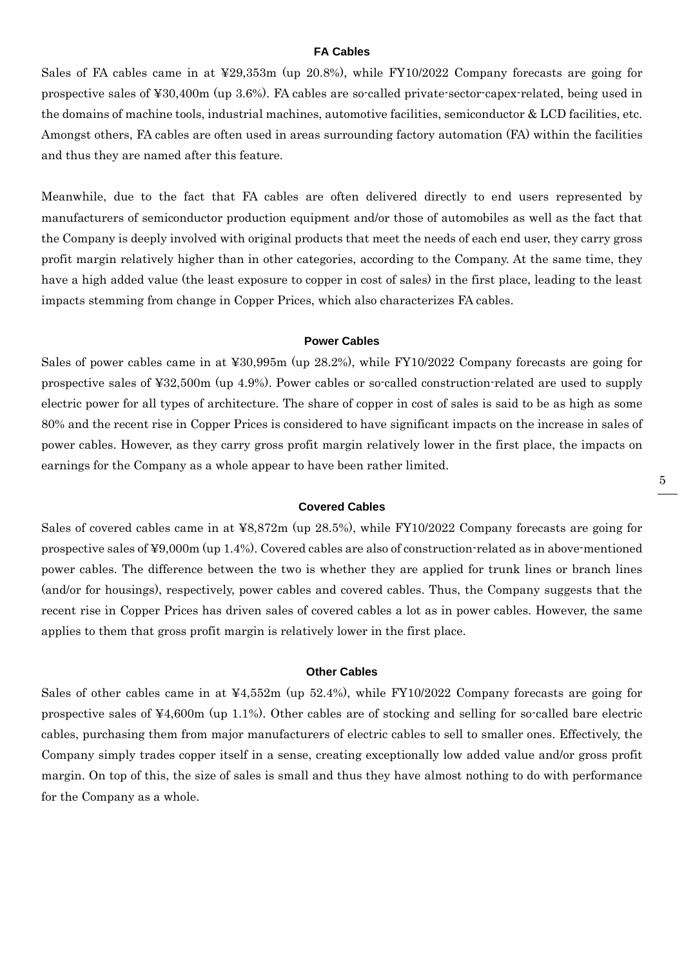#### **FA Cables**

Sales of FA cables came in at ¥29,353m (up 20.8%), while FY10/2022 Company forecasts are going for prospective sales of ¥30,400m (up 3.6%). FA cables are so-called private-sector-capex-related, being used in the domains of machine tools, industrial machines, automotive facilities, semiconductor & LCD facilities, etc. Amongst others, FA cables are often used in areas surrounding factory automation (FA) within the facilities and thus they are named after this feature.

Meanwhile, due to the fact that FA cables are often delivered directly to end users represented by manufacturers of semiconductor production equipment and/or those of automobiles as well as the fact that the Company is deeply involved with original products that meet the needs of each end user, they carry gross profit margin relatively higher than in other categories, according to the Company. At the same time, they have a high added value (the least exposure to copper in cost of sales) in the first place, leading to the least impacts stemming from change in Copper Prices, which also characterizes FA cables.

#### **Power Cables**

Sales of power cables came in at ¥30,995m (up 28.2%), while FY10/2022 Company forecasts are going for prospective sales of ¥32,500m (up 4.9%). Power cables or so-called construction-related are used to supply electric power for all types of architecture. The share of copper in cost of sales is said to be as high as some 80% and the recent rise in Copper Prices is considered to have significant impacts on the increase in sales of power cables. However, as they carry gross profit margin relatively lower in the first place, the impacts on earnings for the Company as a whole appear to have been rather limited.

#### **Covered Cables**

Sales of covered cables came in at ¥8,872m (up 28.5%), while FY10/2022 Company forecasts are going for prospective sales of ¥9,000m (up 1.4%). Covered cables are also of construction-related as in above-mentioned power cables. The difference between the two is whether they are applied for trunk lines or branch lines (and/or for housings), respectively, power cables and covered cables. Thus, the Company suggests that the recent rise in Copper Prices has driven sales of covered cables a lot as in power cables. However, the same applies to them that gross profit margin is relatively lower in the first place.

#### **Other Cables**

Sales of other cables came in at ¥4,552m (up 52.4%), while FY10/2022 Company forecasts are going for prospective sales of ¥4,600m (up 1.1%). Other cables are of stocking and selling for so-called bare electric cables, purchasing them from major manufacturers of electric cables to sell to smaller ones. Effectively, the Company simply trades copper itself in a sense, creating exceptionally low added value and/or gross profit margin. On top of this, the size of sales is small and thus they have almost nothing to do with performance for the Company as a whole.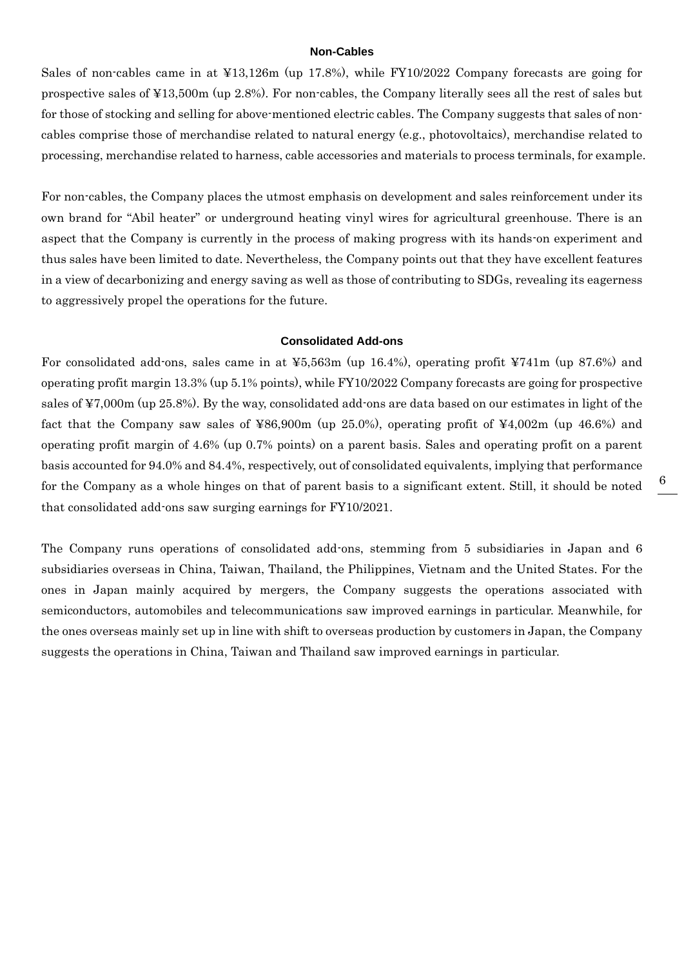#### **Non-Cables**

Sales of non-cables came in at ¥13,126m (up 17.8%), while FY10/2022 Company forecasts are going for prospective sales of ¥13,500m (up 2.8%). For non-cables, the Company literally sees all the rest of sales but for those of stocking and selling for above-mentioned electric cables. The Company suggests that sales of noncables comprise those of merchandise related to natural energy (e.g., photovoltaics), merchandise related to processing, merchandise related to harness, cable accessories and materials to process terminals, for example.

For non-cables, the Company places the utmost emphasis on development and sales reinforcement under its own brand for "Abil heater" or underground heating vinyl wires for agricultural greenhouse. There is an aspect that the Company is currently in the process of making progress with its hands-on experiment and thus sales have been limited to date. Nevertheless, the Company points out that they have excellent features in a view of decarbonizing and energy saving as well as those of contributing to SDGs, revealing its eagerness to aggressively propel the operations for the future.

#### **Consolidated Add-ons**

For consolidated add-ons, sales came in at ¥5,563m (up 16.4%), operating profit ¥741m (up 87.6%) and operating profit margin 13.3% (up 5.1% points), while FY10/2022 Company forecasts are going for prospective sales of ¥7,000m (up 25.8%). By the way, consolidated add-ons are data based on our estimates in light of the fact that the Company saw sales of ¥86,900m (up 25.0%), operating profit of ¥4,002m (up 46.6%) and operating profit margin of 4.6% (up 0.7% points) on a parent basis. Sales and operating profit on a parent basis accounted for 94.0% and 84.4%, respectively, out of consolidated equivalents, implying that performance for the Company as a whole hinges on that of parent basis to a significant extent. Still, it should be noted that consolidated add-ons saw surging earnings for FY10/2021.

The Company runs operations of consolidated add-ons, stemming from 5 subsidiaries in Japan and 6 subsidiaries overseas in China, Taiwan, Thailand, the Philippines, Vietnam and the United States. For the ones in Japan mainly acquired by mergers, the Company suggests the operations associated with semiconductors, automobiles and telecommunications saw improved earnings in particular. Meanwhile, for the ones overseas mainly set up in line with shift to overseas production by customers in Japan, the Company suggests the operations in China, Taiwan and Thailand saw improved earnings in particular.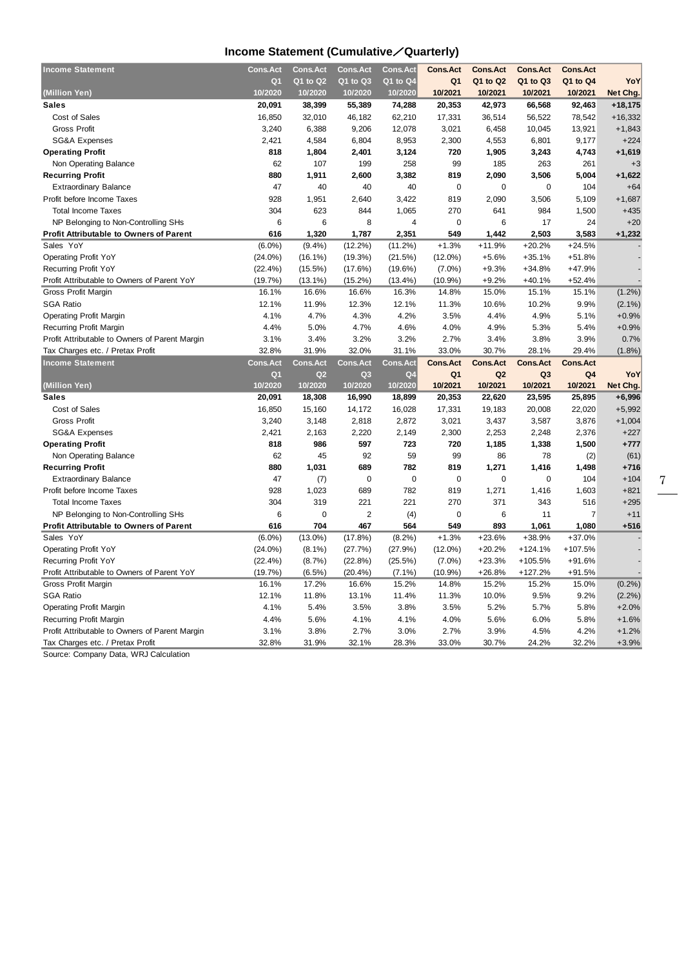## **Income Statement (Cumulative**/**Quarterly)**

| <b>Income Statement</b>                                                            | <b>Cons.Act</b> | <b>Cons.Act</b> | <b>Cons.Act</b> | Cons.Act       | <b>Cons.Act</b> | <b>Cons.Act</b> | <b>Cons.Act</b> | <b>Cons.Act</b> |                    |
|------------------------------------------------------------------------------------|-----------------|-----------------|-----------------|----------------|-----------------|-----------------|-----------------|-----------------|--------------------|
|                                                                                    | Q <sub>1</sub>  | Q1 to Q2        | Q1 to Q3        | Q1 to Q4       | Q <sub>1</sub>  | Q1 to Q2        | Q1 to Q3        | Q1 to Q4        | YoY                |
| (Million Yen)                                                                      | 10/2020         | 10/2020         | 10/2020         | 10/2020        | 10/2021         | 10/2021         | 10/2021         | 10/2021         | Net Chg.           |
| <b>Sales</b>                                                                       | 20,091          | 38,399          | 55,389          | 74,288         | 20,353          | 42,973          | 66,568          | 92,463          | $+18,175$          |
| Cost of Sales                                                                      | 16,850          | 32,010          | 46,182          | 62,210         | 17,331          | 36,514          | 56,522          | 78,542          | $+16,332$          |
| <b>Gross Profit</b>                                                                | 3,240           | 6,388           | 9,206           | 12,078         | 3,021           | 6,458           | 10,045          | 13,921          | $+1,843$           |
| <b>SG&amp;A Expenses</b>                                                           | 2,421           | 4,584           | 6,804           | 8,953          | 2,300           | 4,553           | 6,801           | 9,177           | $+224$             |
| <b>Operating Profit</b>                                                            | 818             | 1,804           | 2,401           | 3,124          | 720             | 1,905           | 3,243           | 4,743           | $+1,619$           |
| Non Operating Balance                                                              | 62              | 107             | 199             | 258            | 99              | 185             | 263             | 261             | $+3$               |
| <b>Recurring Profit</b>                                                            | 880             | 1,911           | 2,600           | 3,382          | 819             | 2,090           | 3,506           | 5,004           | $+1,622$           |
| <b>Extraordinary Balance</b>                                                       | 47              | 40              | 40              | 40             | $\mathbf 0$     | $\mathbf 0$     | 0               | 104             | $+64$              |
| Profit before Income Taxes                                                         | 928             | 1,951           | 2,640           | 3,422          | 819             | 2,090           | 3,506           | 5,109           | $+1,687$           |
| <b>Total Income Taxes</b>                                                          | 304             | 623             | 844             | 1,065          | 270             | 641             | 984             | 1,500           | $+435$             |
| NP Belonging to Non-Controlling SHs                                                | 6               | 6               | 8               | 4              | 0               | 6               | 17              | 24              | $+20$              |
| <b>Profit Attributable to Owners of Parent</b>                                     | 616             | 1,320           | 1,787           | 2,351          | 549             | 1,442           | 2,503           | 3,583           | $+1,232$           |
| Sales YoY                                                                          | $(6.0\%)$       | (9.4%)          | $(12.2\%)$      | (11.2%)        | $+1.3%$         | $+11.9%$        | $+20.2%$        | $+24.5%$        |                    |
| <b>Operating Profit YoY</b>                                                        | $(24.0\%)$      | $(16.1\%)$      | (19.3%)         | (21.5%)        | $(12.0\%)$      | $+5.6%$         | $+35.1%$        | $+51.8%$        |                    |
| Recurring Profit YoY                                                               | (22.4%)         | $(15.5\%)$      | (17.6%)         | $(19.6\%)$     | $(7.0\%)$       | $+9.3%$         | $+34.8%$        | +47.9%          |                    |
| Profit Attributable to Owners of Parent YoY                                        | (19.7%)         | $(13.1\%)$      | $(15.2\%)$      | $(13.4\%)$     | (10.9%          | $+9.2%$         | $+40.1%$        | $+52.4%$        |                    |
| Gross Profit Margin                                                                | 16.1%           | 16.6%           | 16.6%           | 16.3%          | 14.8%           | 15.0%           | 15.1%           | 15.1%           | $(1.2\%)$          |
| <b>SGA Ratio</b>                                                                   | 12.1%           | 11.9%           | 12.3%           | 12.1%          | 11.3%           | 10.6%           | 10.2%           | 9.9%            | $(2.1\%)$          |
| <b>Operating Profit Margin</b>                                                     | 4.1%            | 4.7%            | 4.3%            | 4.2%           | 3.5%            | 4.4%            | 4.9%            | 5.1%            | $+0.9%$            |
| Recurring Profit Margin                                                            | 4.4%            | 5.0%            | 4.7%            | 4.6%           | 4.0%            | 4.9%            | 5.3%            | 5.4%            | $+0.9%$            |
| Profit Attributable to Owners of Parent Margin                                     | 3.1%            | 3.4%            | 3.2%            | 3.2%           | 2.7%            | 3.4%            | 3.8%            | 3.9%            | 0.7%               |
| Tax Charges etc. / Pretax Profit                                                   | 32.8%           | 31.9%           | 32.0%           | 31.1%          | 33.0%           | 30.7%           | 28.1%           | 29.4%           | (1.8%)             |
|                                                                                    |                 |                 |                 |                |                 |                 |                 |                 |                    |
| <b>Income Statement</b>                                                            | <b>Cons.Act</b> | <b>Cons.Act</b> | <b>Cons.Act</b> | Cons.Act       | <b>Cons.Act</b> | <b>Cons.Act</b> | <b>Cons.Act</b> | <b>Cons.Act</b> |                    |
|                                                                                    | Q <sub>1</sub>  | Q <sub>2</sub>  | Q <sub>3</sub>  | Q <sub>4</sub> | Q <sub>1</sub>  | Q <sub>2</sub>  | Q <sub>3</sub>  | Q4              | YoY                |
| (Million Yen)                                                                      | 10/2020         | 10/2020         | 10/2020         | 10/2020        | 10/2021         | 10/2021         | 10/2021         | 10/2021         | Net Chg.           |
| <b>Sales</b>                                                                       | 20,091          | 18,308          | 16,990          | 18,899         | 20,353          | 22,620          | 23,595          | 25,895          | $+6,996$           |
| Cost of Sales                                                                      | 16,850          | 15,160          | 14,172          | 16,028         | 17,331          | 19,183          | 20,008          | 22,020          | $+5,992$           |
| <b>Gross Profit</b>                                                                | 3,240           | 3,148           | 2,818           | 2,872          | 3,021           | 3,437           | 3,587           | 3,876           | $+1,004$           |
| SG&A Expenses                                                                      | 2,421           | 2,163           | 2,220           | 2,149          | 2,300           | 2,253           | 2,248           | 2,376           | $+227$             |
| <b>Operating Profit</b>                                                            | 818             | 986             | 597             | 723            | 720             | 1,185           | 1,338           | 1,500           | $+777$             |
| Non Operating Balance                                                              | 62              | 45              | 92              | 59             | 99              | 86              | 78              | (2)             | (61)               |
| <b>Recurring Profit</b>                                                            | 880             | 1,031           | 689             | 782            | 819             | 1,271           | 1,416           | 1,498           | $+716$             |
| <b>Extraordinary Balance</b>                                                       | 47              | (7)             | $\mathbf 0$     | 0              | $\mathbf 0$     | $\mathbf 0$     | 0               | 104             | $+104$             |
| Profit before Income Taxes                                                         | 928             | 1,023           | 689             | 782            | 819             | 1,271           | 1,416           | 1,603           | $+821$             |
| <b>Total Income Taxes</b>                                                          | 304             | 319             | 221             | 221            | 270             | 371             | 343             | 516             | $+295$             |
| NP Belonging to Non-Controlling SHs                                                | 6               | 0               | $\overline{2}$  | (4)            | $\mathbf 0$     | 6               | 11              | $\overline{7}$  | $+11$              |
| <b>Profit Attributable to Owners of Parent</b>                                     | 616             | 704             | 467             | 564            | 549             | 893             | 1,061           | 1,080           | $+516$             |
| Sales YoY                                                                          | $(6.0\%)$       | $(13.0\%)$      | (17.8%)         | $(8.2\%)$      | $+1.3%$         | $+23.6%$        | +38.9%          | $+37.0%$        |                    |
| <b>Operating Profit YoY</b>                                                        | $(24.0\%)$      | $(8.1\%)$       | (27.7%)         | (27.9%)        | $(12.0\%)$      | $+20.2%$        | $+124.1%$       | +107.5%         |                    |
| Recurring Profit YoY                                                               | (22.4%)         | (8.7%)          | (22.8%)         | (25.5%)        | $(7.0\%)$       | $+23.3%$        | $+105.5%$       | $+91.6%$        |                    |
| Profit Attributable to Owners of Parent YoY                                        | (19.7%)         | $(6.5\%)$       | (20.4%          | $(7.1\%)$      | (10.9%          | $+26.8%$        | $+127.2%$       | $+91.5%$        |                    |
| Gross Profit Margin                                                                | 16.1%           | 17.2%           | 16.6%           | 15.2%          | 14.8%           | 15.2%           | 15.2%           | 15.0%           | (0.2%)             |
| <b>SGA Ratio</b>                                                                   | 12.1%           | 11.8%           | 13.1%           | 11.4%          | 11.3%           | 10.0%           | 9.5%            | 9.2%            | (2.2%)             |
| <b>Operating Profit Margin</b>                                                     | 4.1%            | 5.4%            | 3.5%            | 3.8%           | 3.5%            | 5.2%            | 5.7%            | 5.8%            | $+2.0%$            |
| Recurring Profit Margin                                                            | 4.4%            | 5.6%            | 4.1%            | 4.1%           | 4.0%            | 5.6%            | 6.0%            | 5.8%            | $+1.6%$            |
| Profit Attributable to Owners of Parent Margin<br>Tax Charges etc. / Pretax Profit | 3.1%<br>32.8%   | 3.8%<br>31.9%   | 2.7%<br>32.1%   | 3.0%<br>28.3%  | 2.7%<br>33.0%   | 3.9%<br>30.7%   | 4.5%<br>24.2%   | 4.2%<br>32.2%   | $+1.2%$<br>$+3.9%$ |

Source: Company Data, WRJ Calculation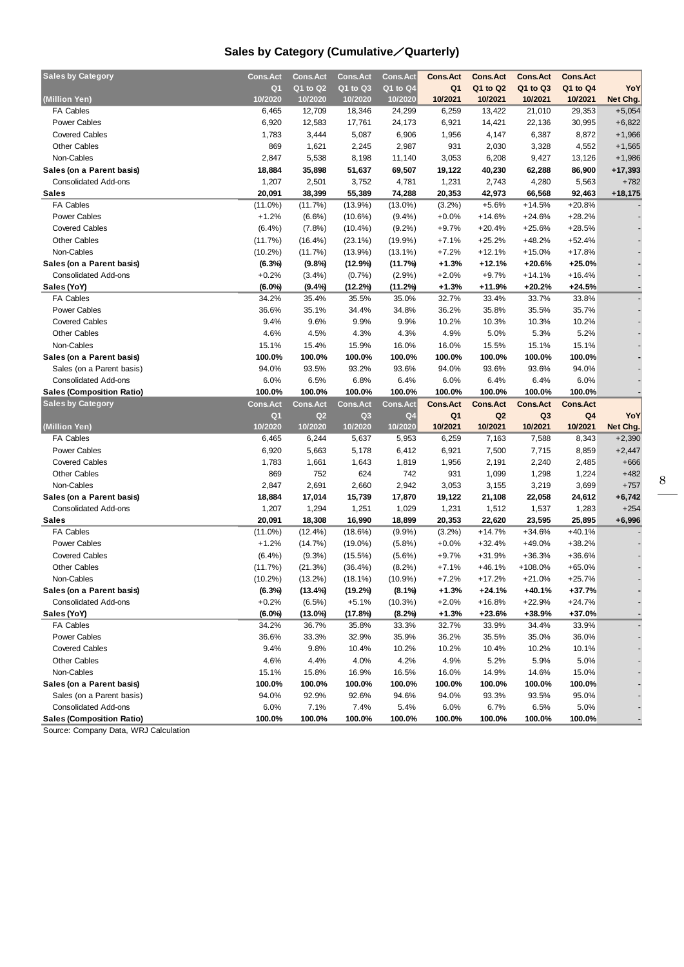## **Sales by Category (Cumulative**/**Quarterly)**

| <b>Sales by Category</b>                                        | <b>Cons.Act</b>    | <b>Cons.Act</b>    | <b>Cons.Act</b>  | Cons.Act       | <b>Cons.Act</b> | <b>Cons.Act</b> | <b>Cons.Act</b> | <b>Cons.Act</b> |           |
|-----------------------------------------------------------------|--------------------|--------------------|------------------|----------------|-----------------|-----------------|-----------------|-----------------|-----------|
|                                                                 | Q <sub>1</sub>     | Q1 to Q2           | Q1 to Q3         | Q1 to Q4       | Q <sub>1</sub>  | Q1 to Q2        | Q1 to Q3        | Q1 to Q4        | YoY       |
| (Million Yen)                                                   | 10/2020            | 10/2020            | 10/2020          | 10/2020        | 10/2021         | 10/2021         | 10/2021         | 10/2021         | Net Chg.  |
| <b>FA Cables</b>                                                | 6,465              | 12,709             | 18,346           | 24,299         | 6,259           | 13,422          | 21,010          | 29,353          | $+5,054$  |
| Power Cables                                                    | 6,920              | 12,583             | 17,761           | 24,173         | 6,921           | 14,421          | 22,136          | 30,995          | $+6,822$  |
| <b>Covered Cables</b>                                           | 1,783              | 3,444              | 5,087            | 6,906          | 1,956           | 4,147           | 6,387           | 8,872           | $+1,966$  |
| <b>Other Cables</b>                                             | 869                | 1,621              | 2,245            | 2,987          | 931             | 2,030           | 3,328           | 4,552           | $+1,565$  |
| Non-Cables                                                      | 2,847              | 5,538              | 8,198            | 11,140         | 3,053           | 6,208           | 9,427           | 13,126          | $+1,986$  |
| Sales (on a Parent basis)                                       | 18,884             | 35,898             | 51,637           | 69,507         | 19,122          | 40,230          | 62,288          | 86,900          | $+17,393$ |
| <b>Consolidated Add-ons</b>                                     | 1,207              | 2,501              | 3,752            | 4,781          | 1,231           | 2,743           | 4,280           | 5,563           | $+782$    |
| Sales                                                           | 20,091             | 38,399             | 55,389           | 74,288         | 20,353          | 42,973          | 66,568          | 92,463          | $+18,175$ |
| <b>FA Cables</b>                                                | $(11.0\%)$         | (11.7%)            | $(13.9\%)$       | $(13.0\%)$     | $(3.2\%)$       | $+5.6%$         | $+14.5%$        | $+20.8%$        |           |
| <b>Power Cables</b>                                             | $+1.2%$            | $(6.6\%)$          | $(10.6\%)$       | $(9.4\%)$      | $+0.0%$         | +14.6%          | $+24.6%$        | $+28.2%$        |           |
| <b>Covered Cables</b>                                           | (6.4%)             | $(7.8\%)$          | $(10.4\%)$       | $(9.2\%)$      | $+9.7%$         | $+20.4%$        | $+25.6%$        | $+28.5%$        |           |
| <b>Other Cables</b>                                             | (11.7%)            | $(16.4\%)$         | $(23.1\%)$       | $(19.9\%)$     | $+7.1%$         | $+25.2%$        | $+48.2%$        | $+52.4%$        |           |
| Non-Cables                                                      | $(10.2\%)$         | (11.7%)            | $(13.9\%)$       | $(13.1\%)$     | $+7.2%$         | $+12.1%$        | $+15.0%$        | $+17.8%$        |           |
| Sales (on a Parent basis)                                       | (6.3%)             | (9.8%)             | (12.9%)          | (11.7%)        | $+1.3%$         | +12.1%          | $+20.6%$        | $+25.0%$        |           |
| <b>Consolidated Add-ons</b>                                     | $+0.2%$            |                    |                  | (2.9%)         | $+2.0%$         | $+9.7%$         | $+14.1%$        | $+16.4%$        |           |
|                                                                 |                    | $(3.4\%)$          | $(0.7\%)$        |                |                 |                 | $+20.2%$        | $+24.5%$        |           |
| Sales (YoY)<br><b>FA Cables</b>                                 | $(6.0\%)$<br>34.2% | $(9.4\%)$<br>35.4% | (12.2%)<br>35.5% | (11.2%)        | $+1.3%$         | +11.9%<br>33.4% | 33.7%           | 33.8%           |           |
| <b>Power Cables</b>                                             | 36.6%              | 35.1%              |                  | 35.0%          | 32.7%<br>36.2%  | 35.8%           | 35.5%           | 35.7%           |           |
| <b>Covered Cables</b>                                           | 9.4%               | 9.6%               | 34.4%<br>9.9%    | 34.8%<br>9.9%  | 10.2%           | 10.3%           | 10.3%           | 10.2%           |           |
|                                                                 |                    |                    |                  |                |                 |                 |                 |                 |           |
| <b>Other Cables</b>                                             | 4.6%               | 4.5%               | 4.3%             | 4.3%           | 4.9%            | 5.0%            | 5.3%            | 5.2%            |           |
| Non-Cables                                                      | 15.1%              | 15.4%              | 15.9%            | 16.0%          | 16.0%           | 15.5%           | 15.1%           | 15.1%           |           |
| Sales (on a Parent basis)                                       | 100.0%             | 100.0%             | 100.0%           | 100.0%         | 100.0%          | 100.0%          | 100.0%          | 100.0%          |           |
| Sales (on a Parent basis)                                       | 94.0%              | 93.5%              | 93.2%            | 93.6%          | 94.0%           | 93.6%           | 93.6%           | 94.0%           |           |
| <b>Consolidated Add-ons</b>                                     | 6.0%               | 6.5%               | 6.8%             | 6.4%           | 6.0%            | 6.4%            | 6.4%            | 6.0%            |           |
| <b>Sales (Composition Ratio)</b>                                | 100.0%             | 100.0%             | 100.0%           | 100.0%         | 100.0%          | 100.0%          | 100.0%          | 100.0%          |           |
|                                                                 |                    |                    |                  |                |                 |                 |                 |                 |           |
| <b>Sales by Category</b>                                        | <b>Cons.Act</b>    | <b>Cons.Act</b>    | Cons.Act         | Cons. Act      | <b>Cons.Act</b> | <b>Cons.Act</b> | <b>Cons.Act</b> | <b>Cons.Act</b> |           |
|                                                                 | Q <sub>1</sub>     | Q <sub>2</sub>     | Q <sub>3</sub>   | Q <sub>4</sub> | Q1              | Q <sub>2</sub>  | Q3              | Q4              | YoY       |
| (Million Yen)                                                   | 10/2020            | 10/2020            | 10/2020          | 10/2020        | 10/2021         | 10/2021         | 10/2021         | 10/2021         | Net Chg.  |
| <b>FA Cables</b>                                                | 6,465              | 6,244              | 5,637            | 5,953          | 6,259           | 7,163           | 7,588           | 8,343           | $+2,390$  |
| <b>Power Cables</b>                                             | 6,920              | 5,663              | 5,178            | 6,412          | 6,921           | 7,500           | 7,715           | 8,859           | $+2,447$  |
| <b>Covered Cables</b>                                           | 1,783              | 1,661              | 1,643            | 1,819          | 1,956           | 2,191           | 2,240           | 2,485           | $+666$    |
| <b>Other Cables</b>                                             | 869                | 752                | 624              | 742            | 931             | 1,099           | 1,298           | 1,224           | $+482$    |
| Non-Cables                                                      | 2,847              | 2,691              | 2,660            | 2,942          | 3,053           | 3,155           | 3,219           | 3,699           | $+757$    |
| Sales (on a Parent basis)                                       | 18,884             | 17,014             | 15,739           | 17,870         | 19,122          | 21,108          | 22,058          | 24,612          | $+6,742$  |
| <b>Consolidated Add-ons</b>                                     | 1,207              | 1,294              | 1,251            | 1,029          | 1,231           | 1,512           | 1,537           | 1,283           | $+254$    |
| Sales                                                           | 20,091             | 18,308             | 16,990           | 18,899         | 20,353          | 22,620          | 23,595          | 25,895          | $+6,996$  |
| <b>FA Cables</b>                                                | $(11.0\%)$         | (12.4%)            | (18.6%)          | $(9.9\%)$      | $(3.2\%)$       | +14.7%          | $+34.6%$        | $+40.1%$        |           |
| <b>Power Cables</b>                                             | $+1.2%$            | (14.7%)            | $(19.0\%)$       | $(5.8\%)$      | $+0.0%$         | +32.4%          | +49.0%          | $+38.2%$        |           |
| <b>Covered Cables</b>                                           | (6.4%)             | $(9.3\%)$          | (15.5%)          | $(5.6\%)$      | $+9.7%$         | $+31.9%$        | $+36.3%$        | $+36.6%$        |           |
| <b>Other Cables</b>                                             | (11.7%)            | (21.3%)            | $(36.4\%)$       | $(8.2\%)$      | $+7.1%$         | $+46.1%$        | +108.0%         | $+65.0%$        |           |
| Non-Cables                                                      | $(10.2\%)$         | $(13.2\%)$         | $(18.1\%)$       | $(10.9\%)$     | $+7.2%$         | $+17.2%$        | $+21.0%$        | $+25.7%$        |           |
| Sales (on a Parent basis)                                       | (6.3%)             | (13.4%)            | (19.2%)          | $(8.1\%)$      | $+1.3%$         | +24.1%          | +40.1%          | +37.7%          |           |
| <b>Consolidated Add-ons</b>                                     | $+0.2%$            | $(6.5\%)$          | $+5.1%$          | (10.3%)        | +2.0%           | +16.8%          | $+22.9%$        | $+24.7%$        |           |
| Sales (YoY)                                                     | $(6.0\%)$          | (13.0%)            | (17.8%)          | (8.2%)         | $+1.3%$         | +23.6%          | +38.9%          | +37.0%          |           |
| <b>FA Cables</b>                                                | 34.2%              | 36.7%              | 35.8%            | 33.3%          | 32.7%           | 33.9%           | 34.4%           | 33.9%           |           |
| Power Cables                                                    | 36.6%              | 33.3%              | 32.9%            | 35.9%          | 36.2%           | 35.5%           | 35.0%           | 36.0%           |           |
| <b>Covered Cables</b>                                           | 9.4%               | 9.8%               | 10.4%            | 10.2%          | 10.2%           | 10.4%           | 10.2%           | 10.1%           |           |
| <b>Other Cables</b>                                             | 4.6%               | 4.4%               | 4.0%             | 4.2%           | 4.9%            | 5.2%            | 5.9%            | 5.0%            |           |
| Non-Cables                                                      | 15.1%              | 15.8%              | 16.9%            | 16.5%          | 16.0%           | 14.9%           | 14.6%           | 15.0%           |           |
| Sales (on a Parent basis)                                       | 100.0%             | 100.0%             | 100.0%           | 100.0%         | 100.0%          | 100.0%          | 100.0%          | 100.0%          |           |
| Sales (on a Parent basis)                                       | 94.0%              | 92.9%              | 92.6%            | 94.6%          | 94.0%           | 93.3%           | 93.5%           | 95.0%           |           |
| <b>Consolidated Add-ons</b><br><b>Sales (Composition Ratio)</b> | 6.0%<br>100.0%     | 7.1%<br>100.0%     | 7.4%<br>100.0%   | 5.4%<br>100.0% | 6.0%<br>100.0%  | 6.7%<br>100.0%  | 6.5%<br>100.0%  | 5.0%<br>100.0%  |           |

Source: Company Data, WRJ Calculation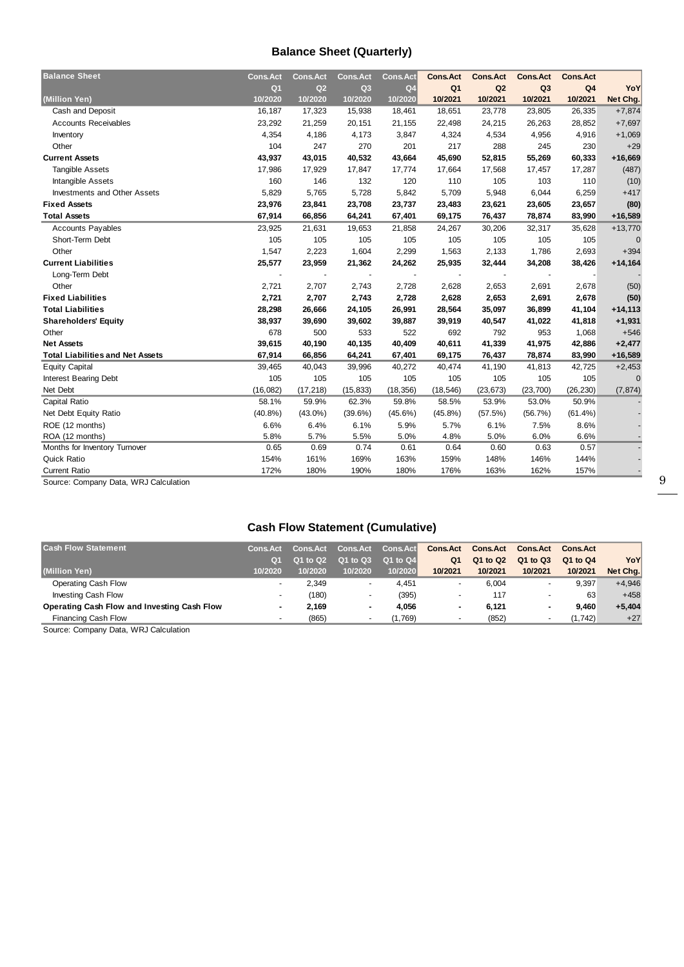## **Balance Sheet (Quarterly)**

| <b>Balance Sheet</b>                    | <b>Cons.Act</b> | <b>Cons.Act</b> | <b>Cons.Act</b> | <b>Cons.Act</b> | <b>Cons.Act</b> | <b>Cons.Act</b> | <b>Cons.Act</b> | <b>Cons.Act</b> |           |
|-----------------------------------------|-----------------|-----------------|-----------------|-----------------|-----------------|-----------------|-----------------|-----------------|-----------|
|                                         | Q <sub>1</sub>  | Q <sub>2</sub>  | Q <sub>3</sub>  | Q <sub>4</sub>  | Q <sub>1</sub>  | Q2              | Q <sub>3</sub>  | Q <sub>4</sub>  | YoY       |
| (Million Yen)                           | 10/2020         | 10/2020         | 10/2020         | 10/2020         | 10/2021         | 10/2021         | 10/2021         | 10/2021         | Net Chg.  |
| Cash and Deposit                        | 16,187          | 17,323          | 15,938          | 18,461          | 18,651          | 23,778          | 23,805          | 26,335          | $+7,874$  |
| <b>Accounts Receivables</b>             | 23,292          | 21,259          | 20,151          | 21,155          | 22,498          | 24,215          | 26,263          | 28,852          | $+7,697$  |
| Inventory                               | 4,354           | 4,186           | 4,173           | 3,847           | 4,324           | 4,534           | 4,956           | 4,916           | $+1,069$  |
| Other                                   | 104             | 247             | 270             | 201             | 217             | 288             | 245             | 230             | $+29$     |
| <b>Current Assets</b>                   | 43,937          | 43,015          | 40,532          | 43,664          | 45,690          | 52,815          | 55,269          | 60,333          | $+16,669$ |
| Tangible Assets                         | 17,986          | 17,929          | 17,847          | 17,774          | 17,664          | 17,568          | 17,457          | 17,287          | (487)     |
| Intangible Assets                       | 160             | 146             | 132             | 120             | 110             | 105             | 103             | 110             | (10)      |
| <b>Investments and Other Assets</b>     | 5,829           | 5,765           | 5,728           | 5,842           | 5,709           | 5,948           | 6,044           | 6,259           | $+417$    |
| <b>Fixed Assets</b>                     | 23,976          | 23,841          | 23,708          | 23,737          | 23,483          | 23,621          | 23,605          | 23,657          | (80)      |
| <b>Total Assets</b>                     | 67,914          | 66,856          | 64,241          | 67,401          | 69,175          | 76,437          | 78,874          | 83,990          | $+16,589$ |
| <b>Accounts Payables</b>                | 23,925          | 21,631          | 19,653          | 21,858          | 24,267          | 30,206          | 32,317          | 35,628          | $+13,770$ |
| Short-Term Debt                         | 105             | 105             | 105             | 105             | 105             | 105             | 105             | 105             | $\Omega$  |
| Other                                   | 1,547           | 2,223           | 1,604           | 2,299           | 1,563           | 2,133           | 1,786           | 2,693           | $+394$    |
| <b>Current Liabilities</b>              | 25,577          | 23,959          | 21,362          | 24,262          | 25,935          | 32,444          | 34,208          | 38,426          | $+14,164$ |
| Long-Term Debt                          |                 |                 |                 |                 |                 |                 |                 |                 |           |
| Other                                   | 2,721           | 2,707           | 2,743           | 2,728           | 2,628           | 2,653           | 2,691           | 2,678           | (50)      |
| <b>Fixed Liabilities</b>                | 2,721           | 2,707           | 2,743           | 2,728           | 2,628           | 2,653           | 2,691           | 2,678           | (50)      |
| <b>Total Liabilities</b>                | 28,298          | 26,666          | 24,105          | 26,991          | 28,564          | 35,097          | 36,899          | 41,104          | $+14,113$ |
| <b>Shareholders' Equity</b>             | 38,937          | 39,690          | 39,602          | 39,887          | 39,919          | 40,547          | 41,022          | 41,818          | $+1,931$  |
| Other                                   | 678             | 500             | 533             | 522             | 692             | 792             | 953             | 1,068           | $+546$    |
| <b>Net Assets</b>                       | 39,615          | 40,190          | 40,135          | 40,409          | 40,611          | 41,339          | 41,975          | 42,886          | $+2,477$  |
| <b>Total Liabilities and Net Assets</b> | 67,914          | 66,856          | 64,241          | 67,401          | 69,175          | 76,437          | 78,874          | 83,990          | +16,589   |
| <b>Equity Capital</b>                   | 39,465          | 40,043          | 39,996          | 40,272          | 40,474          | 41,190          | 41,813          | 42,725          | $+2,453$  |
| <b>Interest Bearing Debt</b>            | 105             | 105             | 105             | 105             | 105             | 105             | 105             | 105             | $\Omega$  |
| Net Debt                                | (16, 082)       | (17, 218)       | (15, 833)       | (18, 356)       | (18, 546)       | (23, 673)       | (23, 700)       | (26, 230)       | (7, 874)  |
| Capital Ratio                           | 58.1%           | 59.9%           | 62.3%           | 59.8%           | 58.5%           | 53.9%           | 53.0%           | 50.9%           |           |
| Net Debt Equity Ratio                   | $(40.8\%)$      | $(43.0\%)$      | $(39.6\%)$      | $(45.6\%)$      | $(45.8\%)$      | (57.5%)         | (56.7%)         | $(61.4\%)$      |           |
| ROE (12 months)                         | 6.6%            | 6.4%            | 6.1%            | 5.9%            | 5.7%            | 6.1%            | 7.5%            | 8.6%            |           |
| ROA (12 months)                         | 5.8%            | 5.7%            | 5.5%            | 5.0%            | 4.8%            | 5.0%            | 6.0%            | 6.6%            |           |
| Months for Inventory Turnover           | 0.65            | 0.69            | 0.74            | 0.61            | 0.64            | 0.60            | 0.63            | 0.57            |           |
| <b>Quick Ratio</b>                      | 154%            | 161%            | 169%            | 163%            | 159%            | 148%            | 146%            | 144%            |           |
| <b>Current Ratio</b>                    | 172%            | 180%            | 190%            | 180%            | 176%            | 163%            | 162%            | 157%            |           |

Source: Company Data, WRJ Calculation

## **Cash Flow Statement (Cumulative)**

| <b>Cash Flow Statement</b>                  | <b>Cons.Act</b> | <b>Cons.Act</b> | <b>Cons.Act</b> | Cons.Act | <b>Cons.Act</b>          | <b>Cons.Act</b> | <b>Cons.Act</b> | <b>Cons.Act</b> |          |
|---------------------------------------------|-----------------|-----------------|-----------------|----------|--------------------------|-----------------|-----------------|-----------------|----------|
|                                             | O <sub>1</sub>  | Q1 to Q2        | Q1 to Q3        | Q1 to Q4 | Q <sub>1</sub>           | Q1 to Q2        | Q1 to Q3        | Q1 to Q4        | YoY      |
| (Million Yen)                               | 10/2020         | 10/2020         | 10/2020         | 10/2020  | 10/2021                  | 10/2021         | 10/2021         | 10/2021         | Net Chg. |
| Operating Cash Flow                         |                 | 2.349           | -               | 4.451    | $\overline{\phantom{0}}$ | 6.004           |                 | 9.397           | $+4,946$ |
| Investing Cash Flow                         |                 | (180)           |                 | (395)    | $\overline{\phantom{a}}$ | 117             | ۰               | 63              | $+458$   |
| Operating Cash Flow and Investing Cash Flow | $\sim$          | 2.169           |                 | 4.056    |                          | 6.121           | ۰               | 9.460           | $+5,404$ |
| Financing Cash Flow                         |                 | (865)           |                 | (1,769)  | $\overline{\phantom{0}}$ | (852)           |                 | (1, 742)        | $+27$    |
| _ _ _ _ _ _ _ _ _                           |                 |                 |                 |          |                          |                 |                 |                 |          |

Source: Company Data, WRJ Calculation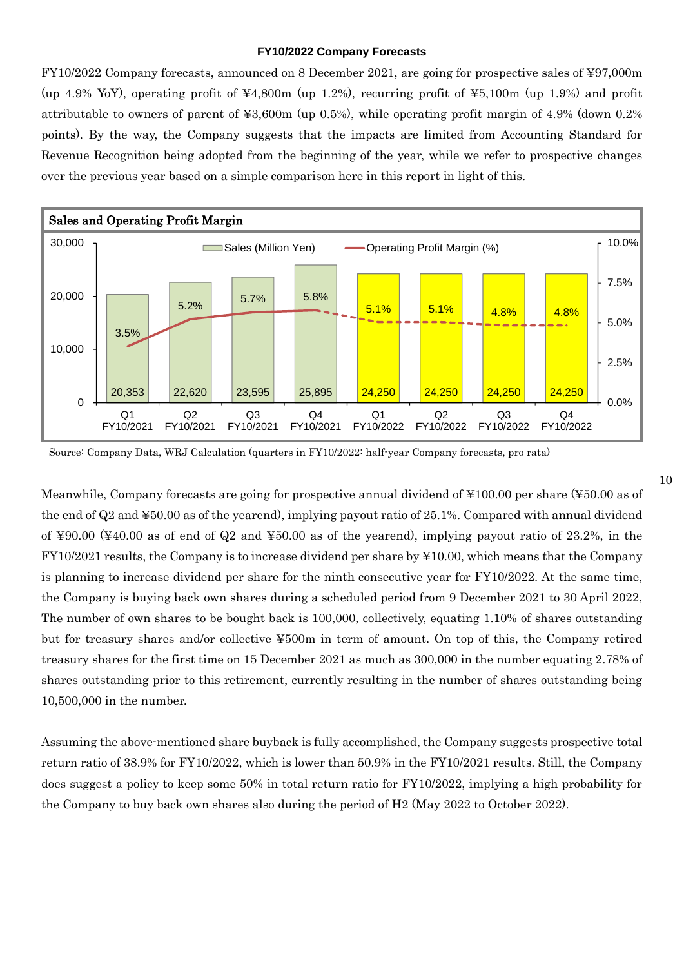#### **FY10/2022 Company Forecasts**

FY10/2022 Company forecasts, announced on 8 December 2021, are going for prospective sales of ¥97,000m (up 4.9% YoY), operating profit of ¥4,800m (up 1.2%), recurring profit of ¥5,100m (up 1.9%) and profit attributable to owners of parent of ¥3,600m (up 0.5%), while operating profit margin of 4.9% (down 0.2% points). By the way, the Company suggests that the impacts are limited from Accounting Standard for Revenue Recognition being adopted from the beginning of the year, while we refer to prospective changes over the previous year based on a simple comparison here in this report in light of this.



Source: Company Data, WRJ Calculation (quarters in FY10/2022: half-year Company forecasts, pro rata)

Meanwhile, Company forecasts are going for prospective annual dividend of ¥100.00 per share (¥50.00 as of the end of Q2 and ¥50.00 as of the yearend), implying payout ratio of 25.1%. Compared with annual dividend of ¥90.00 (¥40.00 as of end of Q2 and ¥50.00 as of the yearend), implying payout ratio of 23.2%, in the FY10/2021 results, the Company is to increase dividend per share by ¥10.00, which means that the Company is planning to increase dividend per share for the ninth consecutive year for FY10/2022. At the same time, the Company is buying back own shares during a scheduled period from 9 December 2021 to 30 April 2022, The number of own shares to be bought back is 100,000, collectively, equating 1.10% of shares outstanding but for treasury shares and/or collective ¥500m in term of amount. On top of this, the Company retired treasury shares for the first time on 15 December 2021 as much as 300,000 in the number equating 2.78% of shares outstanding prior to this retirement, currently resulting in the number of shares outstanding being 10,500,000 in the number.

Assuming the above-mentioned share buyback is fully accomplished, the Company suggests prospective total return ratio of 38.9% for FY10/2022, which is lower than 50.9% in the FY10/2021 results. Still, the Company does suggest a policy to keep some 50% in total return ratio for FY10/2022, implying a high probability for the Company to buy back own shares also during the period of H2 (May 2022 to October 2022).

10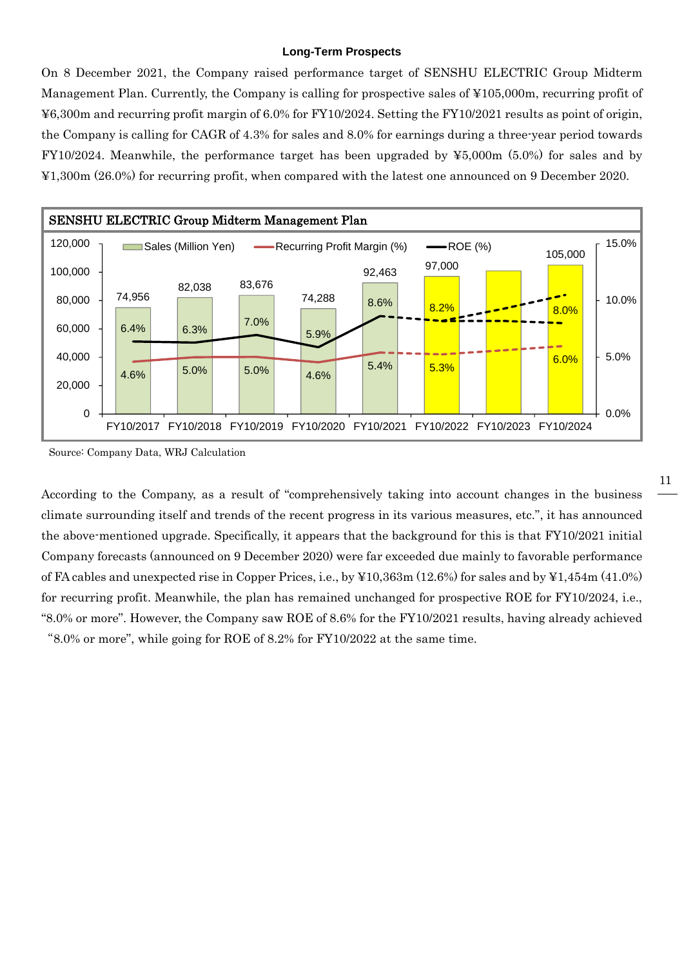#### **Long-Term Prospects**

On 8 December 2021, the Company raised performance target of SENSHU ELECTRIC Group Midterm Management Plan. Currently, the Company is calling for prospective sales of ¥105,000m, recurring profit of ¥6,300m and recurring profit margin of 6.0% for FY10/2024. Setting the FY10/2021 results as point of origin, the Company is calling for CAGR of 4.3% for sales and 8.0% for earnings during a three-year period towards FY10/2024. Meanwhile, the performance target has been upgraded by ¥5,000m (5.0%) for sales and by ¥1,300m (26.0%) for recurring profit, when compared with the latest one announced on 9 December 2020.



Source: Company Data, WRJ Calculation

According to the Company, as a result of "comprehensively taking into account changes in the business climate surrounding itself and trends of the recent progress in its various measures, etc.", it has announced the above-mentioned upgrade. Specifically, it appears that the background for this is that FY10/2021 initial Company forecasts (announced on 9 December 2020) were far exceeded due mainly to favorable performance of FA cables and unexpected rise in Copper Prices, i.e., by ¥10,363m (12.6%) for sales and by ¥1,454m (41.0%) for recurring profit. Meanwhile, the plan has remained unchanged for prospective ROE for FY10/2024, i.e., "8.0% or more". However, the Company saw ROE of 8.6% for the FY10/2021 results, having already achieved "8.0% or more", while going for ROE of 8.2% for FY10/2022 at the same time.

#### 11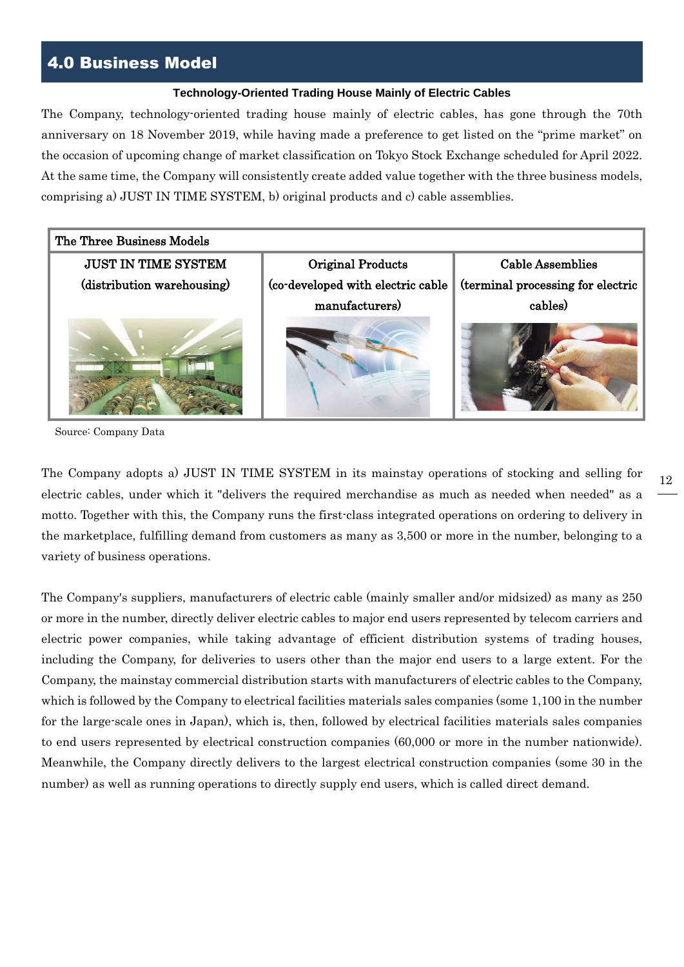## 4.0 Business Model

#### **Technology-Oriented Trading House Mainly of Electric Cables**

The Company, technology-oriented trading house mainly of electric cables, has gone through the 70th anniversary on 18 November 2019, while having made a preference to get listed on the "prime market" on the occasion of upcoming change of market classification on Tokyo Stock Exchange scheduled for April 2022. At the same time, the Company will consistently create added value together with the three business models, comprising a) JUST IN TIME SYSTEM, b) original products and c) cable assemblies.



Source: Company Data

The Company adopts a) JUST IN TIME SYSTEM in its mainstay operations of stocking and selling for electric cables, under which it "delivers the required merchandise as much as needed when needed" as a motto. Together with this, the Company runs the first-class integrated operations on ordering to delivery in the marketplace, fulfilling demand from customers as many as 3,500 or more in the number, belonging to a variety of business operations.

The Company's suppliers, manufacturers of electric cable (mainly smaller and/or midsized) as many as 250 or more in the number, directly deliver electric cables to major end users represented by telecom carriers and electric power companies, while taking advantage of efficient distribution systems of trading houses, including the Company, for deliveries to users other than the major end users to a large extent. For the Company, the mainstay commercial distribution starts with manufacturers of electric cables to the Company, which is followed by the Company to electrical facilities materials sales companies (some 1,100 in the number for the large-scale ones in Japan), which is, then, followed by electrical facilities materials sales companies to end users represented by electrical construction companies (60,000 or more in the number nationwide). Meanwhile, the Company directly delivers to the largest electrical construction companies (some 30 in the number) as well as running operations to directly supply end users, which is called direct demand.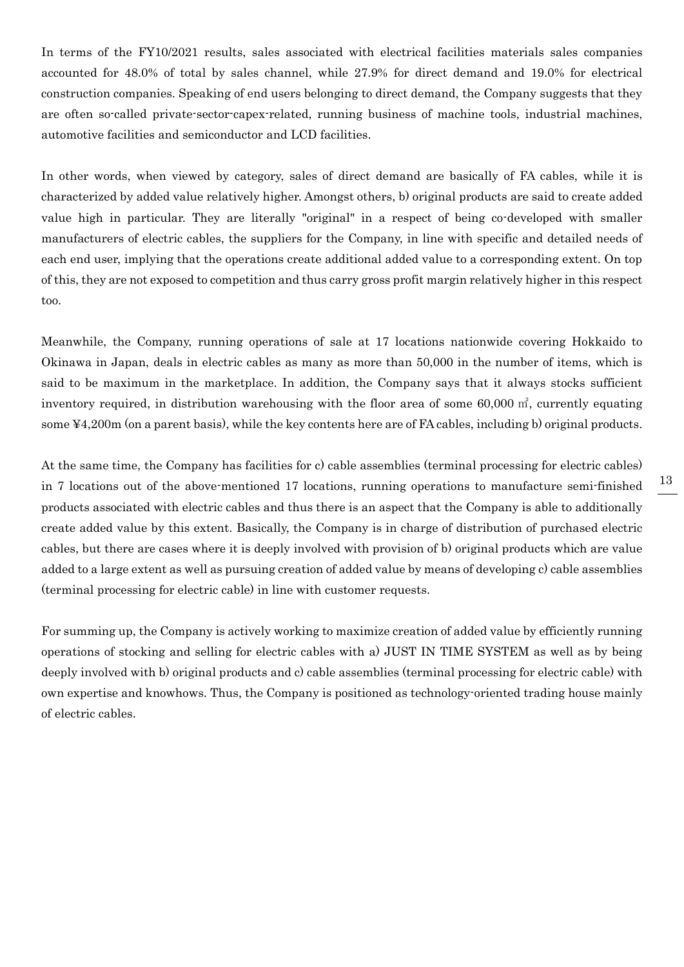In terms of the FY10/2021 results, sales associated with electrical facilities materials sales companies accounted for 48.0% of total by sales channel, while 27.9% for direct demand and 19.0% for electrical construction companies. Speaking of end users belonging to direct demand, the Company suggests that they are often so-called private-sector-capex-related, running business of machine tools, industrial machines, automotive facilities and semiconductor and LCD facilities.

In other words, when viewed by category, sales of direct demand are basically of FA cables, while it is characterized by added value relatively higher. Amongst others, b) original products are said to create added value high in particular. They are literally "original" in a respect of being co-developed with smaller manufacturers of electric cables, the suppliers for the Company, in line with specific and detailed needs of each end user, implying that the operations create additional added value to a corresponding extent. On top of this, they are not exposed to competition and thus carry gross profit margin relatively higher in this respect too.

Meanwhile, the Company, running operations of sale at 17 locations nationwide covering Hokkaido to Okinawa in Japan, deals in electric cables as many as more than 50,000 in the number of items, which is said to be maximum in the marketplace. In addition, the Company says that it always stocks sufficient inventory required, in distribution warehousing with the floor area of some 60,000 ㎡, currently equating some ¥4,200m (on a parent basis), while the key contents here are of FA cables, including b) original products.

At the same time, the Company has facilities for c) cable assemblies (terminal processing for electric cables) in 7 locations out of the above-mentioned 17 locations, running operations to manufacture semi-finished products associated with electric cables and thus there is an aspect that the Company is able to additionally create added value by this extent. Basically, the Company is in charge of distribution of purchased electric cables, but there are cases where it is deeply involved with provision of b) original products which are value added to a large extent as well as pursuing creation of added value by means of developing c) cable assemblies (terminal processing for electric cable) in line with customer requests.

For summing up, the Company is actively working to maximize creation of added value by efficiently running operations of stocking and selling for electric cables with a) JUST IN TIME SYSTEM as well as by being deeply involved with b) original products and c) cable assemblies (terminal processing for electric cable) with own expertise and knowhows. Thus, the Company is positioned as technology-oriented trading house mainly of electric cables.